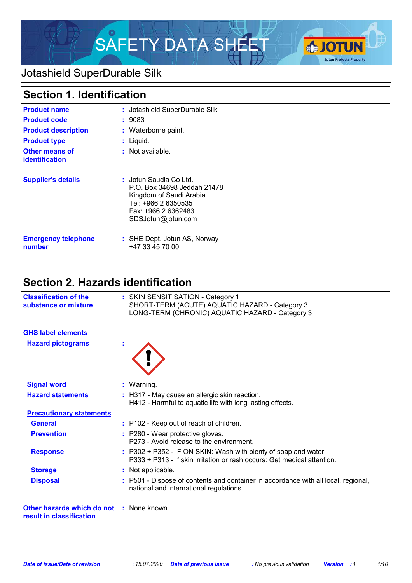

### Jotashield SuperDurable Silk

| <b>Section 1. Identification</b>        |                                                                                                                                                      |  |
|-----------------------------------------|------------------------------------------------------------------------------------------------------------------------------------------------------|--|
| <b>Product name</b>                     | : Jotashield SuperDurable Silk                                                                                                                       |  |
| <b>Product code</b>                     | : 9083                                                                                                                                               |  |
| <b>Product description</b>              | : Waterborne paint.                                                                                                                                  |  |
| <b>Product type</b>                     | : Liquid.                                                                                                                                            |  |
| Other means of<br><b>identification</b> | $:$ Not available.                                                                                                                                   |  |
| <b>Supplier's details</b>               | ∶ Jotun Saudia Co Ltd.<br>P.O. Box 34698 Jeddah 21478<br>Kingdom of Saudi Arabia<br>Tel: +966 2 6350535<br>Fax: +966 2 6362483<br>SDSJotun@jotun.com |  |
| <b>Emergency telephone</b><br>number    | : SHE Dept. Jotun AS, Norway<br>+47 33 45 70 00                                                                                                      |  |

## **Section 2. Hazards identification**

| <b>Classification of the</b><br>substance or mixture   | : SKIN SENSITISATION - Category 1<br>SHORT-TERM (ACUTE) AQUATIC HAZARD - Category 3<br>LONG-TERM (CHRONIC) AQUATIC HAZARD - Category 3 |                                                                                                                                            |  |
|--------------------------------------------------------|----------------------------------------------------------------------------------------------------------------------------------------|--------------------------------------------------------------------------------------------------------------------------------------------|--|
| <b>GHS label elements</b>                              |                                                                                                                                        |                                                                                                                                            |  |
| <b>Hazard pictograms</b>                               |                                                                                                                                        |                                                                                                                                            |  |
| <b>Signal word</b>                                     |                                                                                                                                        | : Warning.                                                                                                                                 |  |
| <b>Hazard statements</b>                               |                                                                                                                                        | : H317 - May cause an allergic skin reaction.<br>H412 - Harmful to aquatic life with long lasting effects.                                 |  |
| <b>Precautionary statements</b>                        |                                                                                                                                        |                                                                                                                                            |  |
| <b>General</b>                                         |                                                                                                                                        | : P102 - Keep out of reach of children.                                                                                                    |  |
| <b>Prevention</b>                                      |                                                                                                                                        | : P280 - Wear protective gloves.<br>P273 - Avoid release to the environment.                                                               |  |
| <b>Response</b>                                        |                                                                                                                                        | : P302 + P352 - IF ON SKIN: Wash with plenty of soap and water.<br>P333 + P313 - If skin irritation or rash occurs: Get medical attention. |  |
| <b>Storage</b>                                         |                                                                                                                                        | : Not applicable.                                                                                                                          |  |
| <b>Disposal</b>                                        |                                                                                                                                        | : P501 - Dispose of contents and container in accordance with all local, regional,<br>national and international regulations.              |  |
| Other hazards which do not<br>result in classification |                                                                                                                                        | : None known.                                                                                                                              |  |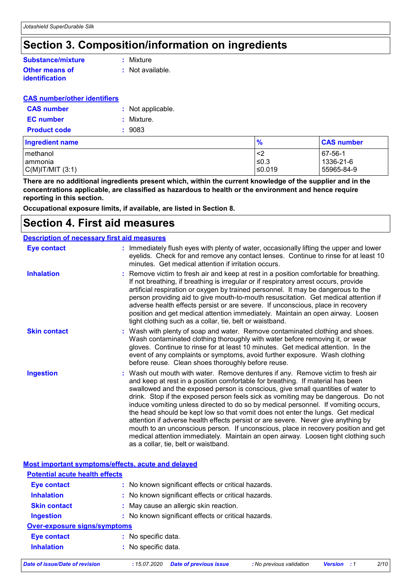### **Section 3. Composition/information on ingredients**

#### **Other means of Substance/mixture**

### **identification**

**:** Mixture

**:** Not available.

#### **CAS number/other identifiers**

| <b>CAS number</b>   | : Not applicable. |
|---------------------|-------------------|
| <b>EC</b> number    | : Mixture.        |
| <b>Product code</b> | : 9083            |

| <b>Ingredient name</b>                        | $\frac{9}{6}$          | <b>CAS number</b>                  |
|-----------------------------------------------|------------------------|------------------------------------|
| methanol<br>lammonia<br>$C(M)$ IT/MIT $(3:1)$ | - 42<br>≤0.3<br>≤0.019 | 67-56-1<br>1336-21-6<br>55965-84-9 |
|                                               |                        |                                    |

**There are no additional ingredients present which, within the current knowledge of the supplier and in the concentrations applicable, are classified as hazardous to health or the environment and hence require reporting in this section.**

**Occupational exposure limits, if available, are listed in Section 8.**

### **Section 4. First aid measures**

| <b>Description of necessary first aid measures</b> |                                                                                                                                                                                                                                                                                                                                                                                                                                                                                                                                                                                                                                                                                                                                                                                                                              |
|----------------------------------------------------|------------------------------------------------------------------------------------------------------------------------------------------------------------------------------------------------------------------------------------------------------------------------------------------------------------------------------------------------------------------------------------------------------------------------------------------------------------------------------------------------------------------------------------------------------------------------------------------------------------------------------------------------------------------------------------------------------------------------------------------------------------------------------------------------------------------------------|
| Eye contact                                        | : Immediately flush eyes with plenty of water, occasionally lifting the upper and lower<br>eyelids. Check for and remove any contact lenses. Continue to rinse for at least 10<br>minutes. Get medical attention if irritation occurs.                                                                                                                                                                                                                                                                                                                                                                                                                                                                                                                                                                                       |
| <b>Inhalation</b>                                  | : Remove victim to fresh air and keep at rest in a position comfortable for breathing.<br>If not breathing, if breathing is irregular or if respiratory arrest occurs, provide<br>artificial respiration or oxygen by trained personnel. It may be dangerous to the<br>person providing aid to give mouth-to-mouth resuscitation. Get medical attention if<br>adverse health effects persist or are severe. If unconscious, place in recovery<br>position and get medical attention immediately. Maintain an open airway. Loosen<br>tight clothing such as a collar, tie, belt or waistband.                                                                                                                                                                                                                                 |
| <b>Skin contact</b>                                | : Wash with plenty of soap and water. Remove contaminated clothing and shoes.<br>Wash contaminated clothing thoroughly with water before removing it, or wear<br>gloves. Continue to rinse for at least 10 minutes. Get medical attention. In the<br>event of any complaints or symptoms, avoid further exposure. Wash clothing<br>before reuse. Clean shoes thoroughly before reuse.                                                                                                                                                                                                                                                                                                                                                                                                                                        |
| <b>Ingestion</b>                                   | : Wash out mouth with water. Remove dentures if any. Remove victim to fresh air<br>and keep at rest in a position comfortable for breathing. If material has been<br>swallowed and the exposed person is conscious, give small quantities of water to<br>drink. Stop if the exposed person feels sick as vomiting may be dangerous. Do not<br>induce vomiting unless directed to do so by medical personnel. If vomiting occurs,<br>the head should be kept low so that vomit does not enter the lungs. Get medical<br>attention if adverse health effects persist or are severe. Never give anything by<br>mouth to an unconscious person. If unconscious, place in recovery position and get<br>medical attention immediately. Maintain an open airway. Loosen tight clothing such<br>as a collar, tie, belt or waistband. |

|                                       | Most important symptoms/effects, acute and delayed  |
|---------------------------------------|-----------------------------------------------------|
| <b>Potential acute health effects</b> |                                                     |
| Eye contact                           | : No known significant effects or critical hazards. |
| <b>Inhalation</b>                     | : No known significant effects or critical hazards. |
| <b>Skin contact</b>                   | : May cause an allergic skin reaction.              |
| <b>Ingestion</b>                      | : No known significant effects or critical hazards. |
| Over-exposure signs/symptoms          |                                                     |
| <b>Eye contact</b>                    | : No specific data.                                 |
| <b>Inhalation</b>                     | : No specific data.                                 |
|                                       |                                                     |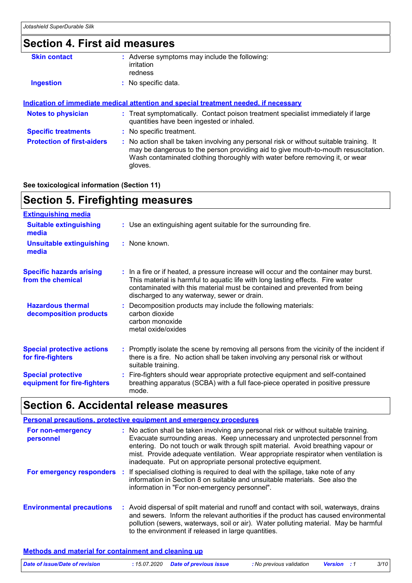#### **Section 4. First aid measures Protection of first-aiders :** No action shall be taken involving any personal risk or without suitable training. It may be dangerous to the person providing aid to give mouth-to-mouth resuscitation. Wash contaminated clothing thoroughly with water before removing it, or wear gloves. **Notes to physician :** Treat symptomatically. Contact poison treatment specialist immediately if large quantities have been ingested or inhaled. **Specific treatments :** No specific treatment. **Skin contact Ingestion has constructed to the construction :** No specific data. Adverse symptoms may include the following: **:** irritation redness **Indication of immediate medical attention and special treatment needed, if necessary**

#### **See toxicological information (Section 11)**

### **Section 5. Firefighting measures**

| <b>Extinguishing media</b>                               |                                                                                                                                                                                                                                                                                                      |
|----------------------------------------------------------|------------------------------------------------------------------------------------------------------------------------------------------------------------------------------------------------------------------------------------------------------------------------------------------------------|
| <b>Suitable extinguishing</b><br>media                   | : Use an extinguishing agent suitable for the surrounding fire.                                                                                                                                                                                                                                      |
| <b>Unsuitable extinguishing</b><br>media                 | : None known.                                                                                                                                                                                                                                                                                        |
| <b>Specific hazards arising</b><br>from the chemical     | : In a fire or if heated, a pressure increase will occur and the container may burst.<br>This material is harmful to aquatic life with long lasting effects. Fire water<br>contaminated with this material must be contained and prevented from being<br>discharged to any waterway, sewer or drain. |
| <b>Hazardous thermal</b><br>decomposition products       | : Decomposition products may include the following materials:<br>carbon dioxide<br>carbon monoxide<br>metal oxide/oxides                                                                                                                                                                             |
| <b>Special protective actions</b><br>for fire-fighters   | : Promptly isolate the scene by removing all persons from the vicinity of the incident if<br>there is a fire. No action shall be taken involving any personal risk or without<br>suitable training.                                                                                                  |
| <b>Special protective</b><br>equipment for fire-fighters | : Fire-fighters should wear appropriate protective equipment and self-contained<br>breathing apparatus (SCBA) with a full face-piece operated in positive pressure<br>mode.                                                                                                                          |

### **Section 6. Accidental release measures**

| Personal precautions, protective equipment and emergency procedures |  |                                                                                                                                                                                                                                                                                                                                                                                                                 |  |
|---------------------------------------------------------------------|--|-----------------------------------------------------------------------------------------------------------------------------------------------------------------------------------------------------------------------------------------------------------------------------------------------------------------------------------------------------------------------------------------------------------------|--|
| For non-emergency<br>personnel                                      |  | : No action shall be taken involving any personal risk or without suitable training.<br>Evacuate surrounding areas. Keep unnecessary and unprotected personnel from<br>entering. Do not touch or walk through spilt material. Avoid breathing vapour or<br>mist. Provide adequate ventilation. Wear appropriate respirator when ventilation is<br>inadequate. Put on appropriate personal protective equipment. |  |
|                                                                     |  | For emergency responders : If specialised clothing is required to deal with the spillage, take note of any<br>information in Section 8 on suitable and unsuitable materials. See also the<br>information in "For non-emergency personnel".                                                                                                                                                                      |  |
| <b>Environmental precautions</b>                                    |  | : Avoid dispersal of spilt material and runoff and contact with soil, waterways, drains<br>and sewers. Inform the relevant authorities if the product has caused environmental<br>pollution (sewers, waterways, soil or air). Water polluting material. May be harmful<br>to the environment if released in large quantities.                                                                                   |  |

#### **Methods and material for containment and cleaning up**

| Date of issue/Date of revision | : 15.07.2020 Date of previous issue | : No previous validation | <b>Version</b> : 1 | 3/10 |
|--------------------------------|-------------------------------------|--------------------------|--------------------|------|
|                                |                                     |                          |                    |      |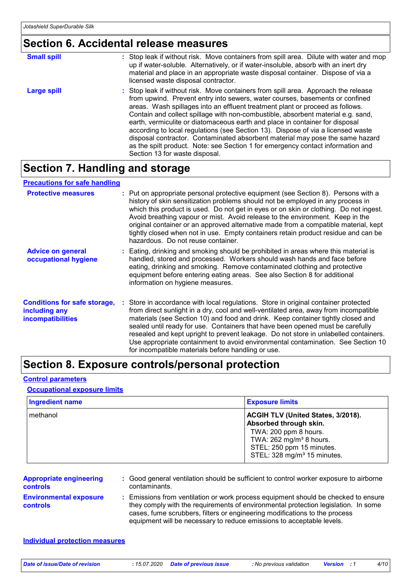### **Section 6. Accidental release measures**

| <b>Small spill</b> | : Stop leak if without risk. Move containers from spill area. Dilute with water and mop<br>up if water-soluble. Alternatively, or if water-insoluble, absorb with an inert dry<br>material and place in an appropriate waste disposal container. Dispose of via a<br>licensed waste disposal contractor.                                                                                                                                                                                                                                                                                                                                                                                                          |
|--------------------|-------------------------------------------------------------------------------------------------------------------------------------------------------------------------------------------------------------------------------------------------------------------------------------------------------------------------------------------------------------------------------------------------------------------------------------------------------------------------------------------------------------------------------------------------------------------------------------------------------------------------------------------------------------------------------------------------------------------|
| Large spill        | : Stop leak if without risk. Move containers from spill area. Approach the release<br>from upwind. Prevent entry into sewers, water courses, basements or confined<br>areas. Wash spillages into an effluent treatment plant or proceed as follows.<br>Contain and collect spillage with non-combustible, absorbent material e.g. sand,<br>earth, vermiculite or diatomaceous earth and place in container for disposal<br>according to local regulations (see Section 13). Dispose of via a licensed waste<br>disposal contractor. Contaminated absorbent material may pose the same hazard<br>as the spilt product. Note: see Section 1 for emergency contact information and<br>Section 13 for waste disposal. |

### **Section 7. Handling and storage**

#### **Precautions for safe handling**

| <b>Protective measures</b>                                                       | : Put on appropriate personal protective equipment (see Section 8). Persons with a<br>history of skin sensitization problems should not be employed in any process in<br>which this product is used. Do not get in eyes or on skin or clothing. Do not ingest.<br>Avoid breathing vapour or mist. Avoid release to the environment. Keep in the<br>original container or an approved alternative made from a compatible material, kept<br>tightly closed when not in use. Empty containers retain product residue and can be<br>hazardous. Do not reuse container.                  |
|----------------------------------------------------------------------------------|-------------------------------------------------------------------------------------------------------------------------------------------------------------------------------------------------------------------------------------------------------------------------------------------------------------------------------------------------------------------------------------------------------------------------------------------------------------------------------------------------------------------------------------------------------------------------------------|
| <b>Advice on general</b><br>occupational hygiene                                 | : Eating, drinking and smoking should be prohibited in areas where this material is<br>handled, stored and processed. Workers should wash hands and face before<br>eating, drinking and smoking. Remove contaminated clothing and protective<br>equipment before entering eating areas. See also Section 8 for additional<br>information on hygiene measures.                                                                                                                                                                                                                       |
| <b>Conditions for safe storage,</b><br>including any<br><b>incompatibilities</b> | : Store in accordance with local regulations. Store in original container protected<br>from direct sunlight in a dry, cool and well-ventilated area, away from incompatible<br>materials (see Section 10) and food and drink. Keep container tightly closed and<br>sealed until ready for use. Containers that have been opened must be carefully<br>resealed and kept upright to prevent leakage. Do not store in unlabelled containers.<br>Use appropriate containment to avoid environmental contamination. See Section 10<br>for incompatible materials before handling or use. |

### **Section 8. Exposure controls/personal protection**

#### **Control parameters**

#### **Occupational exposure limits**

| <b>Ingredient name</b> | <b>Exposure limits</b>                                                                                                                 |
|------------------------|----------------------------------------------------------------------------------------------------------------------------------------|
| methanol               | ACGIH TLV (United States, 3/2018).<br>Absorbed through skin.                                                                           |
|                        | TWA: 200 ppm 8 hours.<br>TWA: $262$ mg/m <sup>3</sup> 8 hours.<br>STEL: 250 ppm 15 minutes.<br>STEL: 328 mg/m <sup>3</sup> 15 minutes. |

| <b>Appropriate engineering</b><br><b>controls</b> | : Good general ventilation should be sufficient to control worker exposure to airborne<br>contaminants.                                                                                                                                                                                                                         |
|---------------------------------------------------|---------------------------------------------------------------------------------------------------------------------------------------------------------------------------------------------------------------------------------------------------------------------------------------------------------------------------------|
| <b>Environmental exposure</b><br><b>controls</b>  | : Emissions from ventilation or work process equipment should be checked to ensure<br>they comply with the requirements of environmental protection legislation. In some<br>cases, fume scrubbers, filters or engineering modifications to the process<br>equipment will be necessary to reduce emissions to acceptable levels. |

#### **Individual protection measures**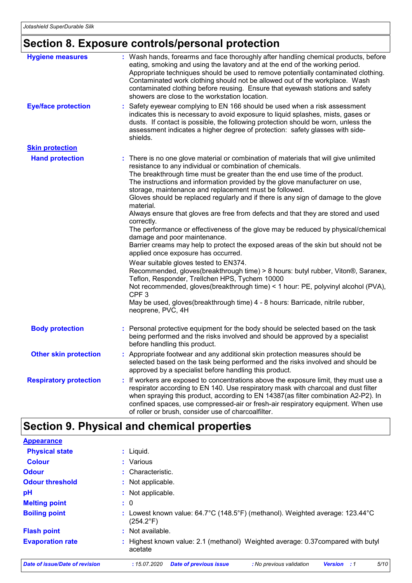# **Section 8. Exposure controls/personal protection**

| <b>Hygiene measures</b>       | : Wash hands, forearms and face thoroughly after handling chemical products, before<br>eating, smoking and using the lavatory and at the end of the working period.<br>Appropriate techniques should be used to remove potentially contaminated clothing.<br>Contaminated work clothing should not be allowed out of the workplace. Wash<br>contaminated clothing before reusing. Ensure that eyewash stations and safety<br>showers are close to the workstation location.                                                                                                                                                                                                                                                                                                                                                                                                                                                                                                                                                                                                                                                                                                                                                        |
|-------------------------------|------------------------------------------------------------------------------------------------------------------------------------------------------------------------------------------------------------------------------------------------------------------------------------------------------------------------------------------------------------------------------------------------------------------------------------------------------------------------------------------------------------------------------------------------------------------------------------------------------------------------------------------------------------------------------------------------------------------------------------------------------------------------------------------------------------------------------------------------------------------------------------------------------------------------------------------------------------------------------------------------------------------------------------------------------------------------------------------------------------------------------------------------------------------------------------------------------------------------------------|
| <b>Eye/face protection</b>    | Safety eyewear complying to EN 166 should be used when a risk assessment<br>indicates this is necessary to avoid exposure to liquid splashes, mists, gases or<br>dusts. If contact is possible, the following protection should be worn, unless the<br>assessment indicates a higher degree of protection: safety glasses with side-<br>shields.                                                                                                                                                                                                                                                                                                                                                                                                                                                                                                                                                                                                                                                                                                                                                                                                                                                                                   |
| <b>Skin protection</b>        |                                                                                                                                                                                                                                                                                                                                                                                                                                                                                                                                                                                                                                                                                                                                                                                                                                                                                                                                                                                                                                                                                                                                                                                                                                    |
| <b>Hand protection</b>        | : There is no one glove material or combination of materials that will give unlimited<br>resistance to any individual or combination of chemicals.<br>The breakthrough time must be greater than the end use time of the product.<br>The instructions and information provided by the glove manufacturer on use,<br>storage, maintenance and replacement must be followed.<br>Gloves should be replaced regularly and if there is any sign of damage to the glove<br>material.<br>Always ensure that gloves are free from defects and that they are stored and used<br>correctly.<br>The performance or effectiveness of the glove may be reduced by physical/chemical<br>damage and poor maintenance.<br>Barrier creams may help to protect the exposed areas of the skin but should not be<br>applied once exposure has occurred.<br>Wear suitable gloves tested to EN374.<br>Recommended, gloves(breakthrough time) > 8 hours: butyl rubber, Viton®, Saranex,<br>Teflon, Responder, Trellchen HPS, Tychem 10000<br>Not recommended, gloves(breakthrough time) < 1 hour: PE, polyvinyl alcohol (PVA),<br>CPF <sub>3</sub><br>May be used, gloves(breakthrough time) 4 - 8 hours: Barricade, nitrile rubber,<br>neoprene, PVC, 4H |
| <b>Body protection</b>        | Personal protective equipment for the body should be selected based on the task<br>being performed and the risks involved and should be approved by a specialist<br>before handling this product.                                                                                                                                                                                                                                                                                                                                                                                                                                                                                                                                                                                                                                                                                                                                                                                                                                                                                                                                                                                                                                  |
| <b>Other skin protection</b>  | : Appropriate footwear and any additional skin protection measures should be<br>selected based on the task being performed and the risks involved and should be<br>approved by a specialist before handling this product.                                                                                                                                                                                                                                                                                                                                                                                                                                                                                                                                                                                                                                                                                                                                                                                                                                                                                                                                                                                                          |
| <b>Respiratory protection</b> | If workers are exposed to concentrations above the exposure limit, they must use a<br>respirator according to EN 140. Use respiratory mask with charcoal and dust filter<br>when spraying this product, according to EN 14387(as filter combination A2-P2). In<br>confined spaces, use compressed-air or fresh-air respiratory equipment. When use<br>of roller or brush, consider use of charcoalfilter.                                                                                                                                                                                                                                                                                                                                                                                                                                                                                                                                                                                                                                                                                                                                                                                                                          |

# **Section 9. Physical and chemical properties**

| <b>Appearance</b>                     |                                                                                                            |
|---------------------------------------|------------------------------------------------------------------------------------------------------------|
| <b>Physical state</b>                 | $:$ Liquid.                                                                                                |
| <b>Colour</b>                         | : Various                                                                                                  |
| <b>Odour</b>                          | : Characteristic.                                                                                          |
| <b>Odour threshold</b>                | : Not applicable.                                                                                          |
| pH                                    | : Not applicable.                                                                                          |
| <b>Melting point</b>                  | $\colon 0$                                                                                                 |
| <b>Boiling point</b>                  | Lowest known value: 64.7°C (148.5°F) (methanol). Weighted average: 123.44°C<br>$(254.2^{\circ}F)$          |
| <b>Flash point</b>                    | $:$ Not available.                                                                                         |
| <b>Evaporation rate</b>               | : Highest known value: 2.1 (methanol) Weighted average: 0.37compared with butyl<br>acetate                 |
| <b>Date of issue/Date of revision</b> | 5/10<br><b>Date of previous issue</b><br>: 15.07.2020<br>: No previous validation<br><b>Version</b><br>: 1 |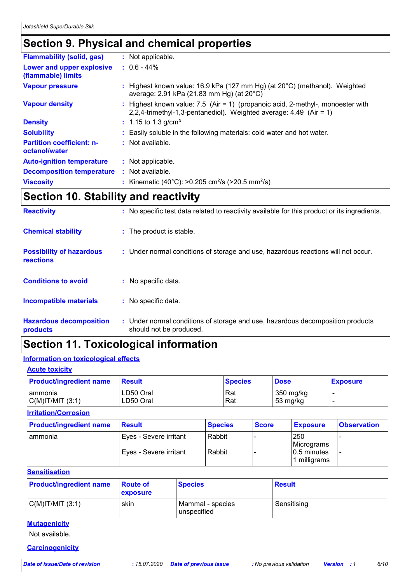### **Section 9. Physical and chemical properties**

| <b>Flammability (solid, gas)</b>                  | : Not applicable.                                                                                                                                       |
|---------------------------------------------------|---------------------------------------------------------------------------------------------------------------------------------------------------------|
| Lower and upper explosive<br>(flammable) limits   | $: 0.6 - 44\%$                                                                                                                                          |
| <b>Vapour pressure</b>                            | : Highest known value: 16.9 kPa (127 mm Hg) (at $20^{\circ}$ C) (methanol). Weighted<br>average: 2.91 kPa (21.83 mm Hg) (at 20°C)                       |
| <b>Vapour density</b>                             | : Highest known value: $7.5$ (Air = 1) (propanoic acid, 2-methyl-, monoester with<br>2,2,4-trimethyl-1,3-pentanediol). Weighted average: 4.49 (Air = 1) |
| <b>Density</b>                                    | : 1.15 to 1.3 g/cm <sup>3</sup>                                                                                                                         |
| <b>Solubility</b>                                 | : Easily soluble in the following materials: cold water and hot water.                                                                                  |
| <b>Partition coefficient: n-</b><br>octanol/water | $:$ Not available.                                                                                                                                      |
| <b>Auto-ignition temperature</b>                  | : Not applicable.                                                                                                                                       |
| <b>Decomposition temperature</b>                  | : Not available.                                                                                                                                        |
| <b>Viscosity</b>                                  | : Kinematic (40°C): >0.205 cm <sup>2</sup> /s (>20.5 mm <sup>2</sup> /s)                                                                                |

### **Section 10. Stability and reactivity**

| <b>Reactivity</b>                            | : No specific test data related to reactivity available for this product or its ingredients.              |
|----------------------------------------------|-----------------------------------------------------------------------------------------------------------|
| <b>Chemical stability</b>                    | : The product is stable.                                                                                  |
| <b>Possibility of hazardous</b><br>reactions | : Under normal conditions of storage and use, hazardous reactions will not occur.                         |
| <b>Conditions to avoid</b>                   | $:$ No specific data.                                                                                     |
| Incompatible materials                       | : No specific data.                                                                                       |
| <b>Hazardous decomposition</b><br>products   | : Under normal conditions of storage and use, hazardous decomposition products<br>should not be produced. |

### **Section 11. Toxicological information**

#### **Information on toxicological effects**

#### **Acute toxicity**

| <b>Product/ingredient name</b> | <b>Result</b> | <b>Species</b> | <b>Dose</b> | <b>Exposure</b> |
|--------------------------------|---------------|----------------|-------------|-----------------|
| I ammonia                      | LD50 Oral     | Rat            | 350 mg/kg   |                 |
| $C(M)$ IT/MIT $(3:1)$          | LD50 Oral     | Rat            | 53 mg/kg    |                 |

#### **Irritation/Corrosion**

| <b>Product/ingredient name</b> | <b>Result</b>           | <b>Species</b> | <b>Score</b> | <b>Exposure</b>                | <b>Observation</b> |
|--------------------------------|-------------------------|----------------|--------------|--------------------------------|--------------------|
| lammonia                       | 'Eyes - Severe irritant | Rabbit         |              | 250<br>Micrograms              |                    |
|                                | Eyes - Severe irritant  | Rabbit         |              | $10.5$ minutes<br>1 milligrams |                    |

#### **Sensitisation**

| <b>Product/ingredient name</b> | <b>Route of</b><br>exposure | <b>Species</b>                  | <b>Result</b> |
|--------------------------------|-----------------------------|---------------------------------|---------------|
| $C(M)$ IT/MIT $(3:1)$          | skin                        | Mammal - species<br>unspecified | Sensitising   |

### **Mutagenicity**

Not available.

#### **Carcinogenicity**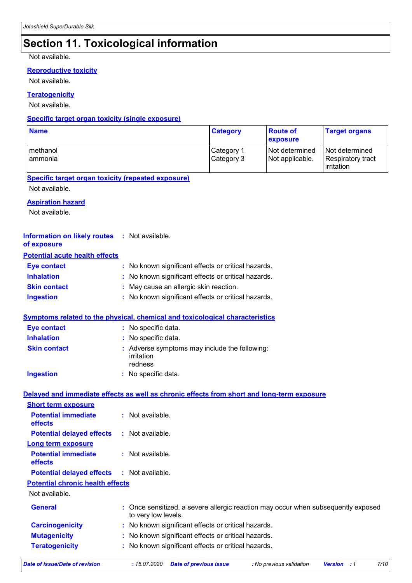# **Section 11. Toxicological information**

#### Not available.

#### **Reproductive toxicity**

Not available.

#### **Teratogenicity**

Not available.

#### **Specific target organ toxicity (single exposure)**

| <b>Name</b>                                                                                |                                                                                                          | <b>Category</b>          | <b>Route of</b><br>exposure       | <b>Target organs</b>                              |
|--------------------------------------------------------------------------------------------|----------------------------------------------------------------------------------------------------------|--------------------------|-----------------------------------|---------------------------------------------------|
| methanol<br>ammonia                                                                        |                                                                                                          | Category 1<br>Category 3 | Not determined<br>Not applicable. | Not determined<br>Respiratory tract<br>irritation |
| <b>Specific target organ toxicity (repeated exposure)</b>                                  |                                                                                                          |                          |                                   |                                                   |
| Not available.                                                                             |                                                                                                          |                          |                                   |                                                   |
| <b>Aspiration hazard</b><br>Not available.                                                 |                                                                                                          |                          |                                   |                                                   |
| <b>Information on likely routes</b><br>of exposure                                         | : Not available.                                                                                         |                          |                                   |                                                   |
| <b>Potential acute health effects</b>                                                      |                                                                                                          |                          |                                   |                                                   |
| <b>Eye contact</b>                                                                         | : No known significant effects or critical hazards.                                                      |                          |                                   |                                                   |
| <b>Inhalation</b>                                                                          | No known significant effects or critical hazards.                                                        |                          |                                   |                                                   |
| <b>Skin contact</b>                                                                        | May cause an allergic skin reaction.                                                                     |                          |                                   |                                                   |
| <b>Ingestion</b>                                                                           | : No known significant effects or critical hazards.                                                      |                          |                                   |                                                   |
| <b>Symptoms related to the physical, chemical and toxicological characteristics</b>        |                                                                                                          |                          |                                   |                                                   |
| <b>Eye contact</b>                                                                         | : No specific data.                                                                                      |                          |                                   |                                                   |
| <b>Inhalation</b>                                                                          | No specific data.                                                                                        |                          |                                   |                                                   |
| <b>Skin contact</b>                                                                        | : Adverse symptoms may include the following:<br>irritation<br>redness                                   |                          |                                   |                                                   |
| <b>Ingestion</b>                                                                           | : No specific data.                                                                                      |                          |                                   |                                                   |
| Delayed and immediate effects as well as chronic effects from short and long-term exposure |                                                                                                          |                          |                                   |                                                   |
| <b>Short term exposure</b>                                                                 |                                                                                                          |                          |                                   |                                                   |
| <b>Potential immediate</b><br>effects                                                      | : Not available.                                                                                         |                          |                                   |                                                   |
| <b>Potential delayed effects</b>                                                           | : Not available.                                                                                         |                          |                                   |                                                   |
| <b>Long term exposure</b>                                                                  |                                                                                                          |                          |                                   |                                                   |
| <b>Potential immediate</b><br>effects                                                      | : Not available.                                                                                         |                          |                                   |                                                   |
| <b>Potential delayed effects</b>                                                           | : Not available.                                                                                         |                          |                                   |                                                   |
| <b>Potential chronic health effects</b>                                                    |                                                                                                          |                          |                                   |                                                   |
| Not available.                                                                             |                                                                                                          |                          |                                   |                                                   |
| <b>General</b>                                                                             | : Once sensitized, a severe allergic reaction may occur when subsequently exposed<br>to very low levels. |                          |                                   |                                                   |
| <b>Carcinogenicity</b>                                                                     | : No known significant effects or critical hazards.                                                      |                          |                                   |                                                   |
| <b>Mutagenicity</b>                                                                        | : No known significant effects or critical hazards.                                                      |                          |                                   |                                                   |
| <b>Teratogenicity</b>                                                                      | : No known significant effects or critical hazards.                                                      |                          |                                   |                                                   |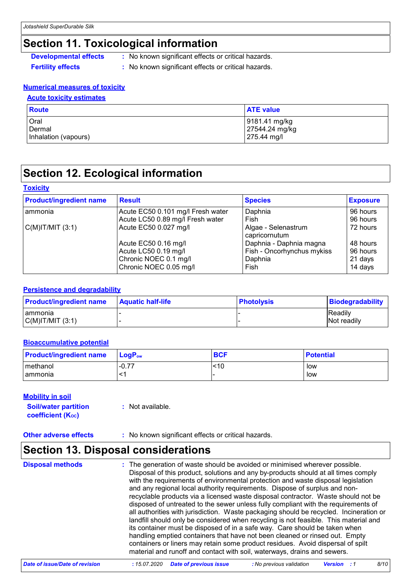### **Section 11. Toxicological information**

- **Developmental effects** : No known significant effects or critical hazards.
- 
- **Fertility effects :** No known significant effects or critical hazards.

#### **Numerical measures of toxicity**

#### **Acute toxicity estimates**

| Route                | <b>ATE value</b> |
|----------------------|------------------|
| Oral                 | 9181.41 mg/kg    |
| Dermal               | 27544.24 mg/kg   |
| Inhalation (vapours) | 275.44 mg/l      |

### **Section 12. Ecological information**

#### **Toxicity**

| <b>Product/ingredient name</b> | <b>Result</b>                     | <b>Species</b>                       | <b>Exposure</b> |
|--------------------------------|-----------------------------------|--------------------------------------|-----------------|
| ammonia                        | Acute EC50 0.101 mg/l Fresh water | Daphnia                              | 96 hours        |
|                                | Acute LC50 0.89 mg/l Fresh water  | Fish                                 | 96 hours        |
| $C(M)$ IT/MIT $(3:1)$          | Acute EC50 0.027 mg/l             | Algae - Selenastrum<br>capricornutum | 72 hours        |
|                                | Acute EC50 0.16 mg/l              | Daphnia - Daphnia magna              | 48 hours        |
|                                | Acute LC50 0.19 mg/l              | Fish - Oncorhynchus mykiss           | 96 hours        |
|                                | Chronic NOEC 0.1 mg/l             | Daphnia                              | 21 days         |
|                                | Chronic NOEC 0.05 mg/l            | Fish                                 | 14 days         |

#### **Persistence and degradability**

| <b>Product/ingredient name</b> | <b>Aquatic half-life</b> | <b>Photolysis</b> | <b>Biodegradability</b> |
|--------------------------------|--------------------------|-------------------|-------------------------|
| I ammonia                      |                          |                   | <b>Readily</b>          |
| C(M) T/MIT (3:1)               |                          |                   | Not readily             |

#### **Bioaccumulative potential**

| <b>Product/ingredient name</b> | $\mathsf{LogP}_\mathsf{ow}$ | <b>BCF</b> | <b>Potential</b> |
|--------------------------------|-----------------------------|------------|------------------|
| l methanol                     | $-0.77$                     | <10        | low              |
| I ammonia                      | <'                          |            | low              |

#### **Mobility in soil**

| <b>Soil/water partition</b> | : Not available. |
|-----------------------------|------------------|
| <b>coefficient (Koc)</b>    |                  |

**Other adverse effects** : No known significant effects or critical hazards.

### **Section 13. Disposal considerations**

**Disposal methods :**

The generation of waste should be avoided or minimised wherever possible. Disposal of this product, solutions and any by-products should at all times comply with the requirements of environmental protection and waste disposal legislation and any regional local authority requirements. Dispose of surplus and nonrecyclable products via a licensed waste disposal contractor. Waste should not be disposed of untreated to the sewer unless fully compliant with the requirements of all authorities with jurisdiction. Waste packaging should be recycled. Incineration or landfill should only be considered when recycling is not feasible. This material and its container must be disposed of in a safe way. Care should be taken when handling emptied containers that have not been cleaned or rinsed out. Empty containers or liners may retain some product residues. Avoid dispersal of spilt material and runoff and contact with soil, waterways, drains and sewers.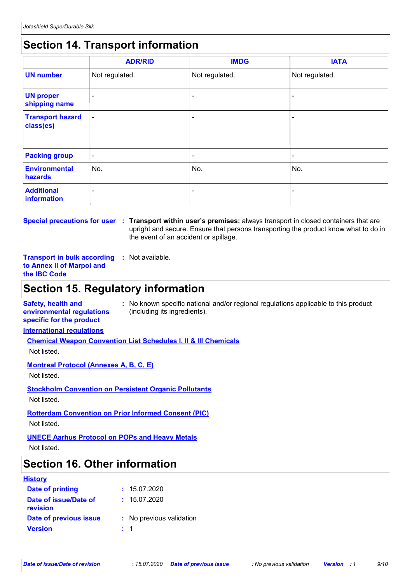### **Section 14. Transport information**

|                                      | <b>ADR/RID</b> | <b>IMDG</b>    | <b>IATA</b>    |
|--------------------------------------|----------------|----------------|----------------|
| <b>UN number</b>                     | Not regulated. | Not regulated. | Not regulated. |
| <b>UN proper</b><br>shipping name    | -              |                |                |
| <b>Transport hazard</b><br>class(es) | $\blacksquare$ |                |                |
| <b>Packing group</b>                 | $\blacksquare$ | ٠              | ۰              |
| <b>Environmental</b><br>hazards      | No.            | No.            | No.            |
| <b>Additional</b><br>information     | ٠              |                |                |

**Special precautions for user Transport within user's premises:** always transport in closed containers that are **:** upright and secure. Ensure that persons transporting the product know what to do in the event of an accident or spillage.

**Transport in bulk according :** Not available. **to Annex II of Marpol and the IBC Code**

### **Section 15. Regulatory information**

**Safety, health and environmental regulations specific for the product :** No known specific national and/or regional regulations applicable to this product (including its ingredients).

**International regulations**

**Chemical Weapon Convention List Schedules I, II & III Chemicals**

Not listed.

**Montreal Protocol (Annexes A, B, C, E)**

Not listed.

**Stockholm Convention on Persistent Organic Pollutants** Not listed.

**Rotterdam Convention on Prior Informed Consent (PIC)**

Not listed.

**UNECE Aarhus Protocol on POPs and Heavy Metals**

Not listed.

### **Section 16. Other information**

#### **History**

| Date of printing                  |         | : 15.07.2020             |
|-----------------------------------|---------|--------------------------|
| Date of issue/Date of<br>revision |         | : 15.07.2020             |
| Date of previous issue            |         | : No previous validation |
| <b>Version</b>                    | $\pm$ 1 |                          |